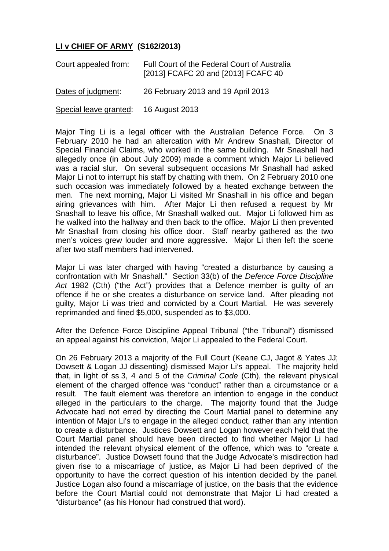## **LI v CHIEF OF ARMY (S162/2013)**

| Court appealed from:                  | Full Court of the Federal Court of Australia<br>[2013] FCAFC 20 and [2013] FCAFC 40 |
|---------------------------------------|-------------------------------------------------------------------------------------|
| Dates of judgment:                    | 26 February 2013 and 19 April 2013                                                  |
| Special leave granted: 16 August 2013 |                                                                                     |

Major Ting Li is a legal officer with the Australian Defence Force. On 3 February 2010 he had an altercation with Mr Andrew Snashall, Director of Special Financial Claims, who worked in the same building. Mr Snashall had allegedly once (in about July 2009) made a comment which Major Li believed was a racial slur. On several subsequent occasions Mr Snashall had asked Major Li not to interrupt his staff by chatting with them. On 2 February 2010 one such occasion was immediately followed by a heated exchange between the men. The next morning, Major Li visited Mr Snashall in his office and began airing grievances with him. After Major Li then refused a request by Mr Snashall to leave his office, Mr Snashall walked out. Major Li followed him as he walked into the hallway and then back to the office. Major Li then prevented Mr Snashall from closing his office door. Staff nearby gathered as the two men's voices grew louder and more aggressive. Major Li then left the scene after two staff members had intervened.

Major Li was later charged with having "created a disturbance by causing a confrontation with Mr Snashall." Section 33(b) of the *Defence Force Discipline Act* 1982 (Cth) ("the Act") provides that a Defence member is guilty of an offence if he or she creates a disturbance on service land. After pleading not guilty, Major Li was tried and convicted by a Court Martial. He was severely reprimanded and fined \$5,000, suspended as to \$3,000.

After the Defence Force Discipline Appeal Tribunal ("the Tribunal") dismissed an appeal against his conviction, Major Li appealed to the Federal Court.

On 26 February 2013 a majority of the Full Court (Keane CJ, Jagot & Yates JJ; Dowsett & Logan JJ dissenting) dismissed Major Li's appeal. The majority held that, in light of ss 3, 4 and 5 of the *Criminal Code* (Cth), the relevant physical element of the charged offence was "conduct" rather than a circumstance or a result. The fault element was therefore an intention to engage in the conduct alleged in the particulars to the charge. The majority found that the Judge Advocate had not erred by directing the Court Martial panel to determine any intention of Major Li's to engage in the alleged conduct, rather than any intention to create a disturbance. Justices Dowsett and Logan however each held that the Court Martial panel should have been directed to find whether Major Li had intended the relevant physical element of the offence, which was to "create a disturbance". Justice Dowsett found that the Judge Advocate's misdirection had given rise to a miscarriage of justice, as Major Li had been deprived of the opportunity to have the correct question of his intention decided by the panel. Justice Logan also found a miscarriage of justice, on the basis that the evidence before the Court Martial could not demonstrate that Major Li had created a "disturbance" (as his Honour had construed that word).